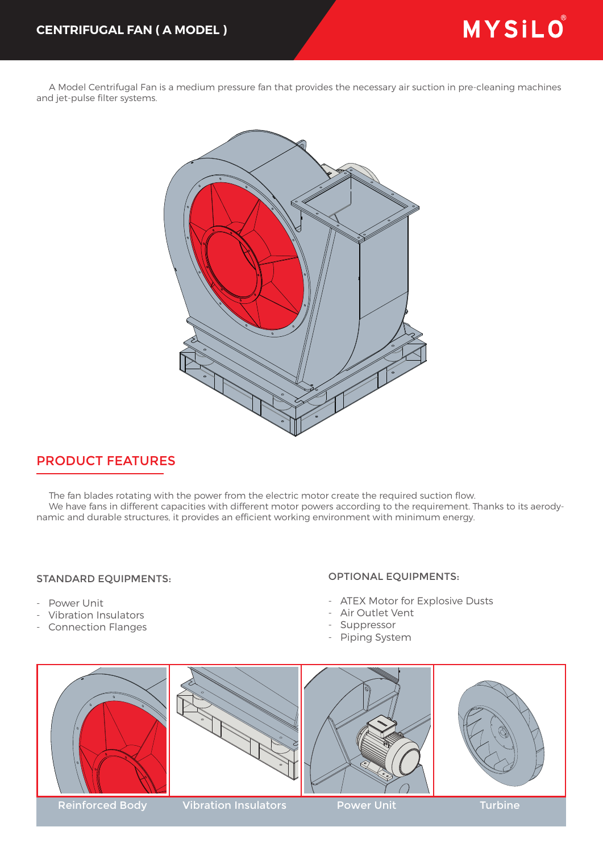A Model Centrifugal Fan is a medium pressure fan that provides the necessary air suction in pre-cleaning machines and jet-pulse filter systems.



## PRODUCT FEATURES

 The fan blades rotating with the power from the electric motor create the required suction flow. We have fans in different capacities with different motor powers according to the requirement. Thanks to its aerodynamic and durable structures, it provides an efficient working environment with minimum energy.

## STANDARD EQUIPMENTS:

- Power Unit
- Vibration Insulators
- Connection Flanges

## OPTIONAL EQUIPMENTS:

- ATEX Motor for Explosive Dusts
- Air Outlet Vent
- Suppressor
- Piping System